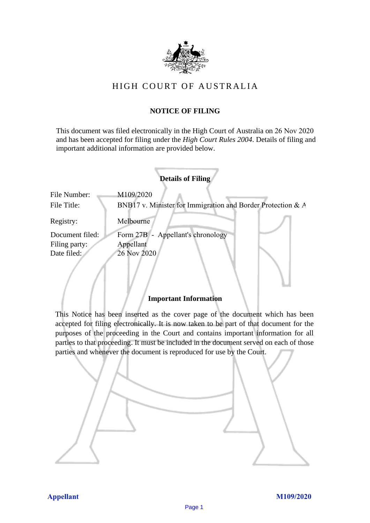

# HIGH COURT OF AU STRALIA HIGH COURT OF AUSTRALIA

## **NOTICE OF FILING** NOTICE OF FILING

This document was filed electronically in the High Court of Australia on 26 Nov 2020 This document was filed electronically in the High Court of Australia 20 and has been accepted for filing under the *High Court Rules 2004*. Details of filing and important additional information are provided below. important additional information are provided below.

| <b>Details of Filing</b>    |                                                                          |  |  |  |  |
|-----------------------------|--------------------------------------------------------------------------|--|--|--|--|
| File Number:<br>File Title: | M109/2020<br>BNB17 v. Minister for Immigration and Border Protection & A |  |  |  |  |
| Registry:                   | Melbourne                                                                |  |  |  |  |
| Document filed:             | Form 27B - Appellant's chronology                                        |  |  |  |  |
| Filing party:               | Appellant                                                                |  |  |  |  |
| Date filed:                 | 26 Nov 2020                                                              |  |  |  |  |
|                             |                                                                          |  |  |  |  |

### **Important Information** Important Information

This Notice has been inserted as the cover page of the document which has been accepted for filing electronically. It is now taken to be part of that document for the purposes of the proceeding in the Court and contains important information for all parties to that proceeding. It must be included in the document served on each of those parties and whenever the document is reproduced for use by the Court. parties and whenever the document is reproduced for use by the Court

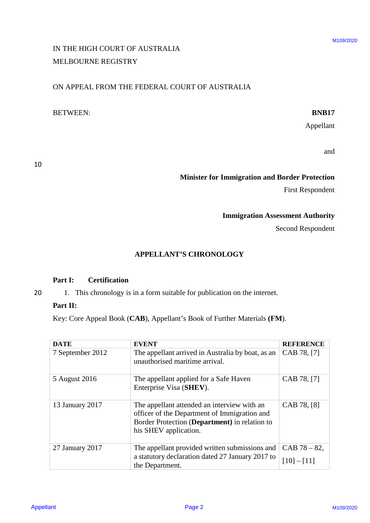# IN THE HIGH COURT OF AUSTRALIA IN THE HIGH COURT OF AUSTRALIA MELBOURNE REGISTRY MELBOURNE REGISTRY

### ON APPEAL FROM THE FEDERAL COURT OF AUSTRALIA ON APPEAL FROM THE FEDERAL COURT OF AUSTRALIA

### BETWEEN: **BNB17** BETWEEN: BNB17

### **Minister for Immigration and Border Protection** Minister for Immigration and Border Protection

### **Immigration Assessment Authority** Immigration Assessment Authority

### **APPELLANT'S CHRONOLOGY** APPELLANT'S CHRONOLOGY

### **Part I: Certification** Part I: Certification

### Part II:

| MELBOURNE REGISTRY                                    | IN THE HIGH COURT OF AUSTRALIA                                                                                                                                        |                         | M109/2020 |  |
|-------------------------------------------------------|-----------------------------------------------------------------------------------------------------------------------------------------------------------------------|-------------------------|-----------|--|
|                                                       | ON APPEAL FROM THE FEDERAL COURT OF AUSTRALIA                                                                                                                         |                         |           |  |
| <b>BETWEEN:</b>                                       |                                                                                                                                                                       | <b>BNB17</b>            |           |  |
|                                                       |                                                                                                                                                                       | Appellant               |           |  |
|                                                       |                                                                                                                                                                       | and                     |           |  |
| <b>Minister for Immigration and Border Protection</b> |                                                                                                                                                                       |                         |           |  |
|                                                       |                                                                                                                                                                       | <b>First Respondent</b> |           |  |
| <b>Immigration Assessment Authority</b>               |                                                                                                                                                                       |                         |           |  |
|                                                       |                                                                                                                                                                       | Second Respondent       |           |  |
|                                                       |                                                                                                                                                                       |                         |           |  |
| <b>Certification</b><br>Part I:                       | <b>APPELLANT'S CHRONOLOGY</b>                                                                                                                                         |                         |           |  |
| Part II:                                              | 1. This chronology is in a form suitable for publication on the internet.<br>Key: Core Appeal Book (CAB), Appellant's Book of Further Materials (FM).                 |                         |           |  |
| <b>DATE</b>                                           | <b>EVENT</b>                                                                                                                                                          | <b>REFERENCE</b>        |           |  |
| 7 September 2012                                      | The appellant arrived in Australia by boat, as an<br>unauthorised maritime arrival.                                                                                   | CAB 78, [7]             |           |  |
| 5 August 2016                                         | The appellant applied for a Safe Haven<br>Enterprise Visa (SHEV).                                                                                                     | CAB 78, [7]             |           |  |
| 13 January 2017                                       | The appellant attended an interview with an<br>officer of the Department of Immigration and<br>Border Protection (Department) in relation to<br>his SHEV application. | CAB 78, [8]             |           |  |